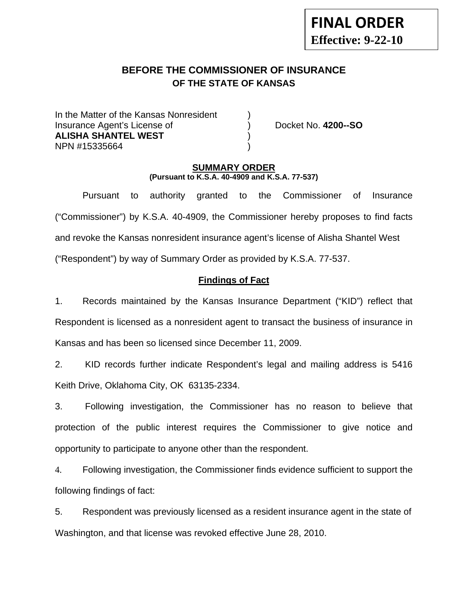# **FINAL ORDER Effective: 9-22-10**

# **BEFORE THE COMMISSIONER OF INSURANCE OF THE STATE OF KANSAS**

In the Matter of the Kansas Nonresident Insurance Agent's License of ) Docket No. **4200--SO ALISHA SHANTEL WEST** ) NPN #15335664 )

## **SUMMARY ORDER (Pursuant to K.S.A. 40-4909 and K.S.A. 77-537)**

 Pursuant to authority granted to the Commissioner of Insurance ("Commissioner") by K.S.A. 40-4909, the Commissioner hereby proposes to find facts and revoke the Kansas nonresident insurance agent's license of Alisha Shantel West ("Respondent") by way of Summary Order as provided by K.S.A. 77-537.

## **Findings of Fact**

1. Records maintained by the Kansas Insurance Department ("KID") reflect that Respondent is licensed as a nonresident agent to transact the business of insurance in Kansas and has been so licensed since December 11, 2009.

2. KID records further indicate Respondent's legal and mailing address is 5416 Keith Drive, Oklahoma City, OK 63135-2334.

3. Following investigation, the Commissioner has no reason to believe that protection of the public interest requires the Commissioner to give notice and opportunity to participate to anyone other than the respondent.

4. Following investigation, the Commissioner finds evidence sufficient to support the following findings of fact:

5. Respondent was previously licensed as a resident insurance agent in the state of Washington, and that license was revoked effective June 28, 2010.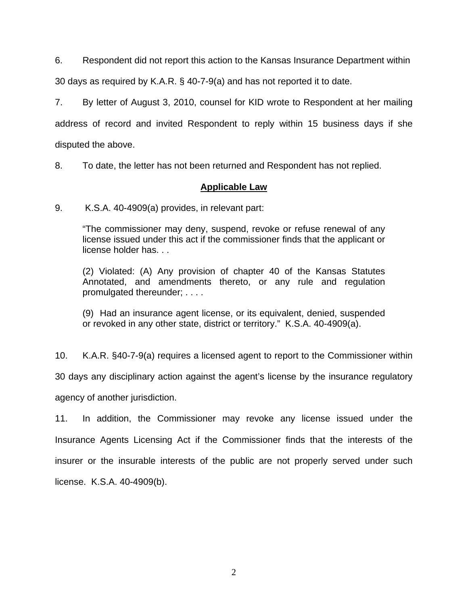6. Respondent did not report this action to the Kansas Insurance Department within

30 days as required by K.A.R. § 40-7-9(a) and has not reported it to date.

7. By letter of August 3, 2010, counsel for KID wrote to Respondent at her mailing address of record and invited Respondent to reply within 15 business days if she disputed the above.

8. To date, the letter has not been returned and Respondent has not replied.

## **Applicable Law**

9. K.S.A. 40-4909(a) provides, in relevant part:

"The commissioner may deny, suspend, revoke or refuse renewal of any license issued under this act if the commissioner finds that the applicant or license holder has. . .

(2) Violated: (A) Any provision of chapter 40 of the Kansas Statutes Annotated, and amendments thereto, or any rule and regulation promulgated thereunder; . . . .

(9) Had an insurance agent license, or its equivalent, denied, suspended or revoked in any other state, district or territory." K.S.A. 40-4909(a).

10. K.A.R. §40-7-9(a) requires a licensed agent to report to the Commissioner within 30 days any disciplinary action against the agent's license by the insurance regulatory agency of another jurisdiction.

11. In addition, the Commissioner may revoke any license issued under the Insurance Agents Licensing Act if the Commissioner finds that the interests of the insurer or the insurable interests of the public are not properly served under such license. K.S.A. 40-4909(b).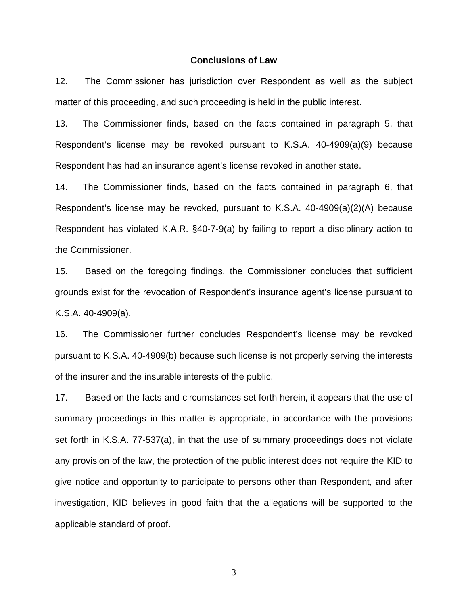#### **Conclusions of Law**

12. The Commissioner has jurisdiction over Respondent as well as the subject matter of this proceeding, and such proceeding is held in the public interest.

13. The Commissioner finds, based on the facts contained in paragraph 5, that Respondent's license may be revoked pursuant to K.S.A. 40-4909(a)(9) because Respondent has had an insurance agent's license revoked in another state.

14. The Commissioner finds, based on the facts contained in paragraph 6, that Respondent's license may be revoked, pursuant to K.S.A. 40-4909(a)(2)(A) because Respondent has violated K.A.R. §40-7-9(a) by failing to report a disciplinary action to the Commissioner.

15. Based on the foregoing findings, the Commissioner concludes that sufficient grounds exist for the revocation of Respondent's insurance agent's license pursuant to K.S.A. 40-4909(a).

16. The Commissioner further concludes Respondent's license may be revoked pursuant to K.S.A. 40-4909(b) because such license is not properly serving the interests of the insurer and the insurable interests of the public.

17. Based on the facts and circumstances set forth herein, it appears that the use of summary proceedings in this matter is appropriate, in accordance with the provisions set forth in K.S.A. 77-537(a), in that the use of summary proceedings does not violate any provision of the law, the protection of the public interest does not require the KID to give notice and opportunity to participate to persons other than Respondent, and after investigation, KID believes in good faith that the allegations will be supported to the applicable standard of proof.

3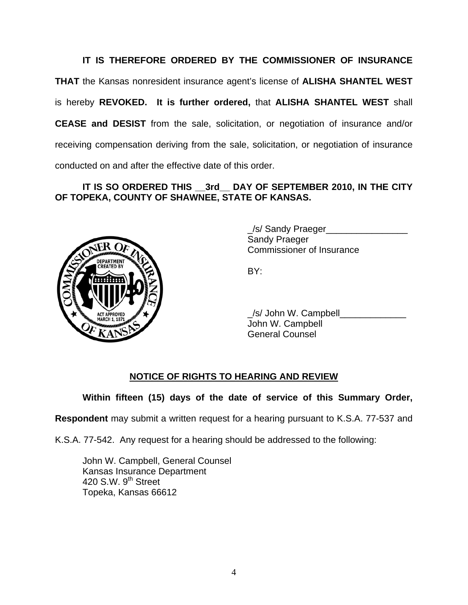**IT IS THEREFORE ORDERED BY THE COMMISSIONER OF INSURANCE THAT** the Kansas nonresident insurance agent's license of **ALISHA SHANTEL WEST** is hereby **REVOKED. It is further ordered,** that **ALISHA SHANTEL WEST** shall **CEASE and DESIST** from the sale, solicitation, or negotiation of insurance and/or receiving compensation deriving from the sale, solicitation, or negotiation of insurance conducted on and after the effective date of this order.

## **IT IS SO ORDERED THIS \_\_3rd\_\_ DAY OF SEPTEMBER 2010, IN THE CITY OF TOPEKA, COUNTY OF SHAWNEE, STATE OF KANSAS.**



 \_/s/ Sandy Praeger\_\_\_\_\_\_\_\_\_\_\_\_\_\_\_\_ Sandy Praeger Commissioner of Insurance

 \_/s/ John W. Campbell\_\_\_\_\_\_\_\_\_\_\_\_\_ John W. Campbell General Counsel

## **NOTICE OF RIGHTS TO HEARING AND REVIEW**

**Within fifteen (15) days of the date of service of this Summary Order,** 

**Respondent** may submit a written request for a hearing pursuant to K.S.A. 77-537 and

K.S.A. 77-542. Any request for a hearing should be addressed to the following:

 John W. Campbell, General Counsel Kansas Insurance Department 420 S.W. 9<sup>th</sup> Street Topeka, Kansas 66612